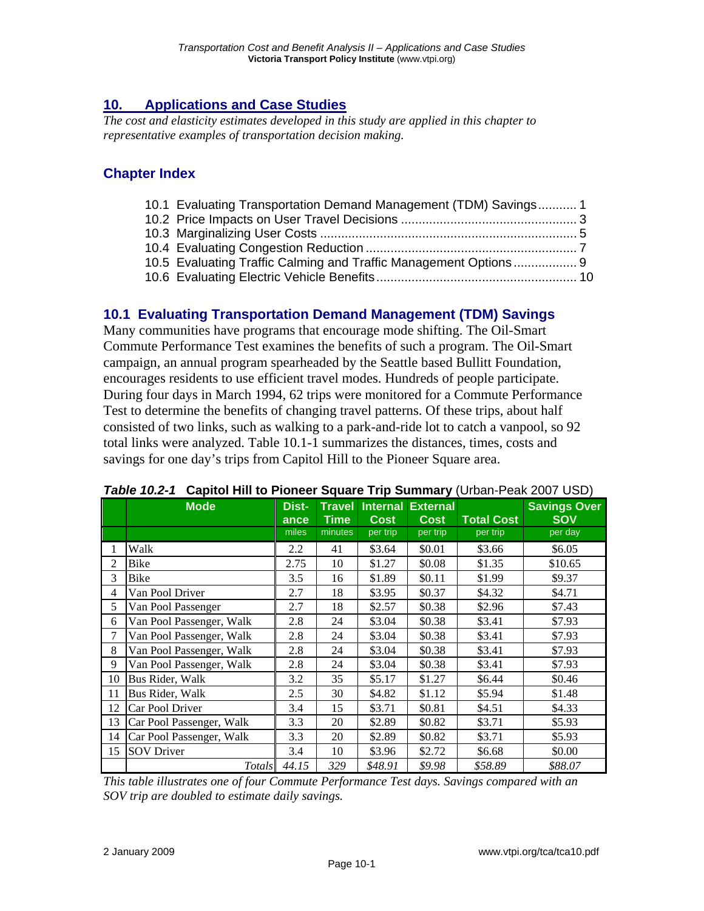# **10. Applications and Case Studies**

*The cost and elasticity estimates developed in this study are applied in this chapter to representative examples of transportation decision making.* 

### **Chapter Index**

| 10.1 Evaluating Transportation Demand Management (TDM) Savings 1 |  |
|------------------------------------------------------------------|--|
|                                                                  |  |
|                                                                  |  |
|                                                                  |  |
| 10.5 Evaluating Traffic Calming and Traffic Management Options 9 |  |
|                                                                  |  |

### **10.1 Evaluating Transportation Demand Management (TDM) Savings**

Many communities have programs that encourage mode shifting. The Oil-Smart Commute Performance Test examines the benefits of such a program. The Oil-Smart campaign, an annual program spearheaded by the Seattle based Bullitt Foundation, encourages residents to use efficient travel modes. Hundreds of people participate. During four days in March 1994, 62 trips were monitored for a Commute Performance Test to determine the benefits of changing travel patterns. Of these trips, about half consisted of two links, such as walking to a park-and-ride lot to catch a vanpool, so 92 total links were analyzed. Table 10.1-1 summarizes the distances, times, costs and savings for one day's trips from Capitol Hill to the Pioneer Square area.

|    | <b>Mode</b>              | Dist-<br>ance | <b>Travel</b><br><b>Time</b> | <b>Cost</b> | <b>Internal External</b><br><b>Cost</b> | <b>Total Cost</b> | <b>Savings Over</b><br><b>SOV</b> |
|----|--------------------------|---------------|------------------------------|-------------|-----------------------------------------|-------------------|-----------------------------------|
|    |                          | miles         | minutes                      | per trip    | per trip                                | per trip          | per day                           |
| 1  | Walk                     | 2.2           | 41                           | \$3.64      | \$0.01                                  | \$3.66            | \$6.05                            |
| 2  | <b>Bike</b>              | 2.75          | 10                           | \$1.27      | \$0.08                                  | \$1.35            | \$10.65                           |
| 3  | <b>Bike</b>              | 3.5           | 16                           | \$1.89      | \$0.11                                  | \$1.99            | \$9.37                            |
| 4  | Van Pool Driver          | 2.7           | 18                           | \$3.95      | \$0.37                                  | \$4.32            | \$4.71                            |
| 5  | Van Pool Passenger       | 2.7           | 18                           | \$2.57      | \$0.38                                  | \$2.96            | \$7.43                            |
| 6  | Van Pool Passenger, Walk | 2.8           | 24                           | \$3.04      | \$0.38                                  | \$3.41            | \$7.93                            |
| 7  | Van Pool Passenger, Walk | 2.8           | 24                           | \$3.04      | \$0.38                                  | \$3.41            | \$7.93                            |
| 8  | Van Pool Passenger, Walk | 2.8           | 24                           | \$3.04      | \$0.38                                  | \$3.41            | \$7.93                            |
| 9  | Van Pool Passenger, Walk | 2.8           | 24                           | \$3.04      | \$0.38                                  | \$3.41            | \$7.93                            |
| 10 | Bus Rider, Walk          | 3.2           | 35                           | \$5.17      | \$1.27                                  | \$6.44            | \$0.46                            |
| 11 | Bus Rider, Walk          | 2.5           | 30                           | \$4.82      | \$1.12                                  | \$5.94            | \$1.48                            |
| 12 | Car Pool Driver          | 3.4           | 15                           | \$3.71      | \$0.81                                  | \$4.51            | \$4.33                            |
| 13 | Car Pool Passenger, Walk | 3.3           | 20                           | \$2.89      | \$0.82                                  | \$3.71            | \$5.93                            |
| 14 | Car Pool Passenger, Walk | 3.3           | 20                           | \$2.89      | \$0.82                                  | \$3.71            | \$5.93                            |
| 15 | <b>SOV</b> Driver        | 3.4           | 10                           | \$3.96      | \$2.72                                  | \$6.68            | \$0.00                            |
|    | Totals                   | 44.15         | 329                          | \$48.91     | \$9.98                                  | \$58.89           | \$88.07                           |

#### *Table 10.2-1* **Capitol Hill to Pioneer Square Trip Summary** (Urban-Peak 2007 USD)

*This table illustrates one of four Commute Performance Test days. Savings compared with an SOV trip are doubled to estimate daily savings.*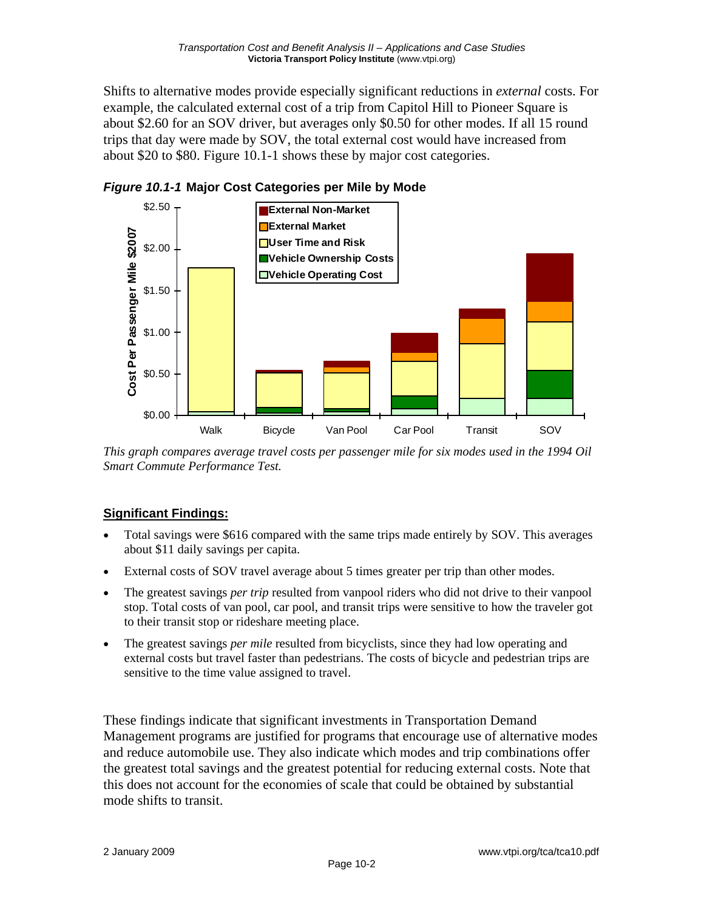Shifts to alternative modes provide especially significant reductions in *external* costs. For example, the calculated external cost of a trip from Capitol Hill to Pioneer Square is about \$2.60 for an SOV driver, but averages only \$0.50 for other modes. If all 15 round trips that day were made by SOV, the total external cost would have increased from about \$20 to \$80. Figure 10.1-1 shows these by major cost categories.



*Figure 10.1-1* **Major Cost Categories per Mile by Mode** 

*This graph compares average travel costs per passenger mile for six modes used in the 1994 Oil Smart Commute Performance Test.* 

### **Significant Findings:**

- Total savings were \$616 compared with the same trips made entirely by SOV. This averages about \$11 daily savings per capita.
- External costs of SOV travel average about 5 times greater per trip than other modes.
- The greatest savings *per trip* resulted from vanpool riders who did not drive to their vanpool stop. Total costs of van pool, car pool, and transit trips were sensitive to how the traveler got to their transit stop or rideshare meeting place.
- The greatest savings *per mile* resulted from bicyclists, since they had low operating and external costs but travel faster than pedestrians. The costs of bicycle and pedestrian trips are sensitive to the time value assigned to travel.

These findings indicate that significant investments in Transportation Demand Management programs are justified for programs that encourage use of alternative modes and reduce automobile use. They also indicate which modes and trip combinations offer the greatest total savings and the greatest potential for reducing external costs. Note that this does not account for the economies of scale that could be obtained by substantial mode shifts to transit.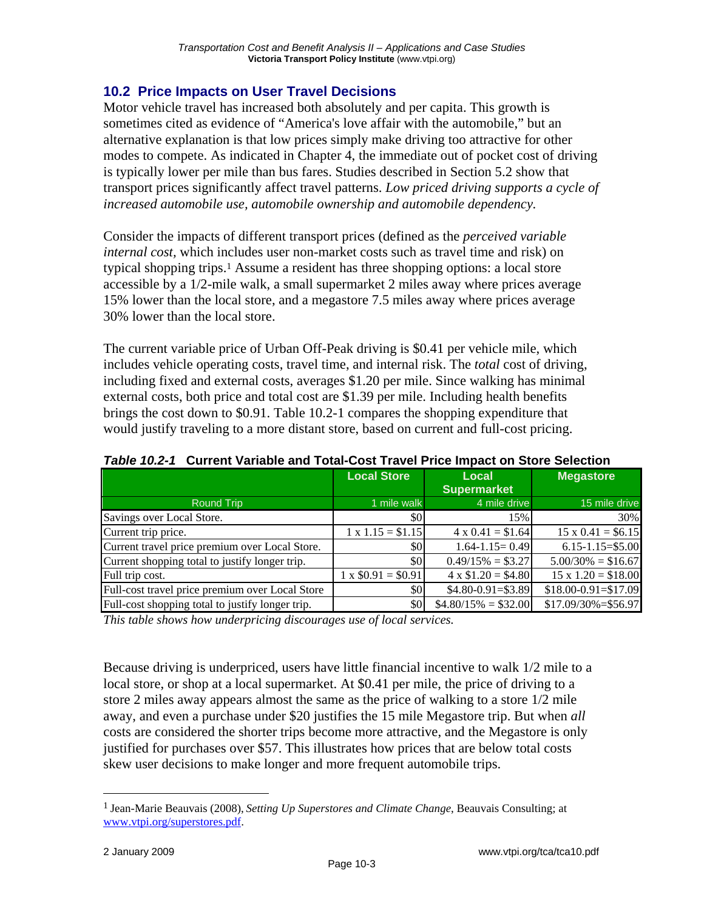# **10.2 Price Impacts on User Travel Decisions**

Motor vehicle travel has increased both absolutely and per capita. This growth is sometimes cited as evidence of "America's love affair with the automobile," but an alternative explanation is that low prices simply make driving too attractive for other modes to compete. As indicated in Chapter 4, the immediate out of pocket cost of driving is typically lower per mile than bus fares. Studies described in Section 5.2 show that transport prices significantly affect travel patterns. *Low priced driving supports a cycle of increased automobile use, automobile ownership and automobile dependency.*

Consider the impacts of different transport prices (defined as the *perceived variable internal cost,* which includes user non-market costs such as travel time and risk) on typical shopping trips.1 Assume a resident has three shopping options: a local store accessible by a 1/2-mile walk, a small supermarket 2 miles away where prices average 15% lower than the local store, and a megastore 7.5 miles away where prices average 30% lower than the local store.

The current variable price of Urban Off-Peak driving is \$0.41 per vehicle mile, which includes vehicle operating costs, travel time, and internal risk. The *total* cost of driving, including fixed and external costs, averages \$1.20 per mile. Since walking has minimal external costs, both price and total cost are \$1.39 per mile. Including health benefits brings the cost down to \$0.91. Table 10.2-1 compares the shopping expenditure that would justify traveling to a more distant store, based on current and full-cost pricing.

|                                                  | <b>Local Store</b>       | Local                      | <b>Megastore</b>          |
|--------------------------------------------------|--------------------------|----------------------------|---------------------------|
|                                                  |                          | <b>Supermarket</b>         |                           |
| <b>Round Trip</b>                                | 1 mile walk              | 4 mile drive               | 15 mile drive             |
| Savings over Local Store.                        | \$0                      | 15%                        | 30%                       |
| Current trip price.                              | $1 \times 1.15 = $1.15$  | $4 \times 0.41 = $1.64$    | $15 \times 0.41 = $6.15$  |
| Current travel price premium over Local Store.   | \$0                      | $1.64 - 1.15 = 0.49$       | $6.15 - 1.15 = $5.00$     |
| Current shopping total to justify longer trip.   | \$0                      | $0.49/15\% = $3.27$        | $5.00/30\% = $16.67$      |
| Full trip cost.                                  | $1 \times $0.91 = $0.91$ | $4 \times \$1.20 = \$4.80$ | $15 \times 1.20 = $18.00$ |
| Full-cost travel price premium over Local Store  | \$0                      | $$4.80-0.91= $3.89$        | $$18.00 - 0.91 = $17.09$  |
| Full-cost shopping total to justify longer trip. | \$0                      | $$4.80/15\% = $32.00$      | $$17.09/30\% = $56.97$    |

*Table 10.2-1* **Current Variable and Total-Cost Travel Price Impact on Store Selection** 

*This table shows how underpricing discourages use of local services.* 

Because driving is underpriced, users have little financial incentive to walk 1/2 mile to a local store, or shop at a local supermarket. At \$0.41 per mile, the price of driving to a store 2 miles away appears almost the same as the price of walking to a store 1/2 mile away, and even a purchase under \$20 justifies the 15 mile Megastore trip. But when *all* costs are considered the shorter trips become more attractive, and the Megastore is only justified for purchases over \$57. This illustrates how prices that are below total costs skew user decisions to make longer and more frequent automobile trips.

<sup>1</sup> Jean-Marie Beauvais (2008), *Setting Up Superstores and Climate Change*, Beauvais Consulting; at www.vtpi.org/superstores.pdf.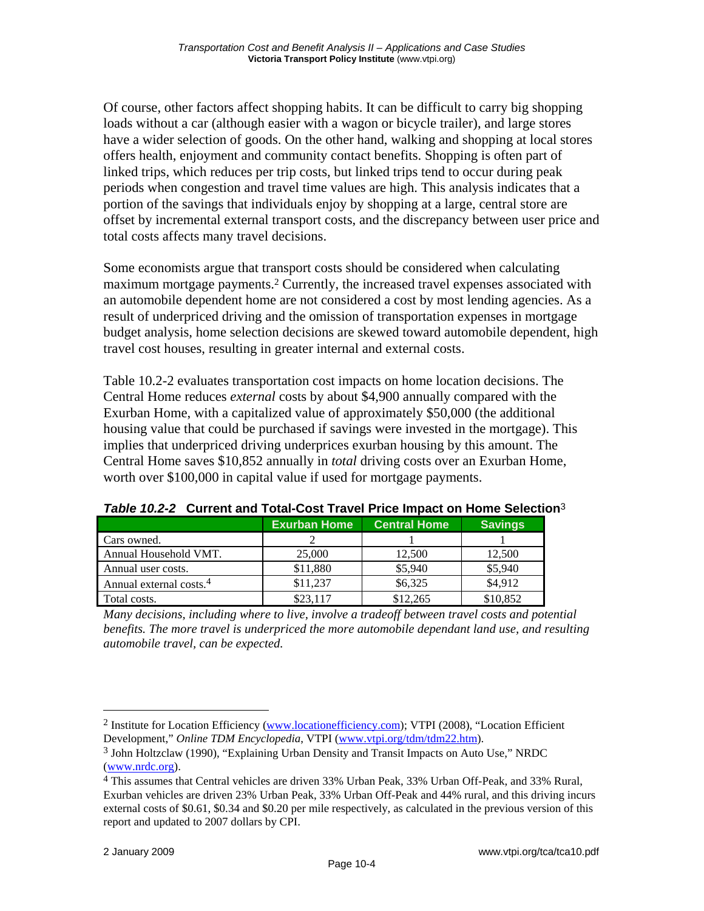Of course, other factors affect shopping habits. It can be difficult to carry big shopping loads without a car (although easier with a wagon or bicycle trailer), and large stores have a wider selection of goods. On the other hand, walking and shopping at local stores offers health, enjoyment and community contact benefits. Shopping is often part of linked trips, which reduces per trip costs, but linked trips tend to occur during peak periods when congestion and travel time values are high. This analysis indicates that a portion of the savings that individuals enjoy by shopping at a large, central store are offset by incremental external transport costs, and the discrepancy between user price and total costs affects many travel decisions.

Some economists argue that transport costs should be considered when calculating maximum mortgage payments.<sup>2</sup> Currently, the increased travel expenses associated with an automobile dependent home are not considered a cost by most lending agencies. As a result of underpriced driving and the omission of transportation expenses in mortgage budget analysis, home selection decisions are skewed toward automobile dependent, high travel cost houses, resulting in greater internal and external costs.

Table 10.2-2 evaluates transportation cost impacts on home location decisions. The Central Home reduces *external* costs by about \$4,900 annually compared with the Exurban Home, with a capitalized value of approximately \$50,000 (the additional housing value that could be purchased if savings were invested in the mortgage). This implies that underpriced driving underprices exurban housing by this amount. The Central Home saves \$10,852 annually in *total* driving costs over an Exurban Home, worth over \$100,000 in capital value if used for mortgage payments.

|                                     | <b>Exurban Home</b> | <b>Central Home</b> | <b>Savings</b> |
|-------------------------------------|---------------------|---------------------|----------------|
| Cars owned.                         |                     |                     |                |
| Annual Household VMT.               | 25,000              | 12,500              | 12,500         |
| Annual user costs.                  | \$11,880            | \$5,940             | \$5,940        |
| Annual external costs. <sup>4</sup> | \$11,237            | \$6,325             | \$4.912        |
| Total costs.                        | \$23.117            | \$12,265            | \$10,852       |

*Table 10.2-2* **Current and Total-Cost Travel Price Impact on Home Selection**<sup>3</sup>

*Many decisions, including where to live, involve a tradeoff between travel costs and potential benefits. The more travel is underpriced the more automobile dependant land use, and resulting automobile travel, can be expected.* 

<sup>2</sup> Institute for Location Efficiency (www.locationefficiency.com); VTPI (2008), "Location Efficient Development," *Online TDM Encyclopedia*, VTPI (www.vtpi.org/tdm/tdm22.htm).

<sup>3</sup> John Holtzclaw (1990), "Explaining Urban Density and Transit Impacts on Auto Use," NRDC (www.nrdc.org).

<sup>4</sup> This assumes that Central vehicles are driven 33% Urban Peak, 33% Urban Off-Peak, and 33% Rural, Exurban vehicles are driven 23% Urban Peak, 33% Urban Off-Peak and 44% rural, and this driving incurs external costs of \$0.61, \$0.34 and \$0.20 per mile respectively, as calculated in the previous version of this report and updated to 2007 dollars by CPI.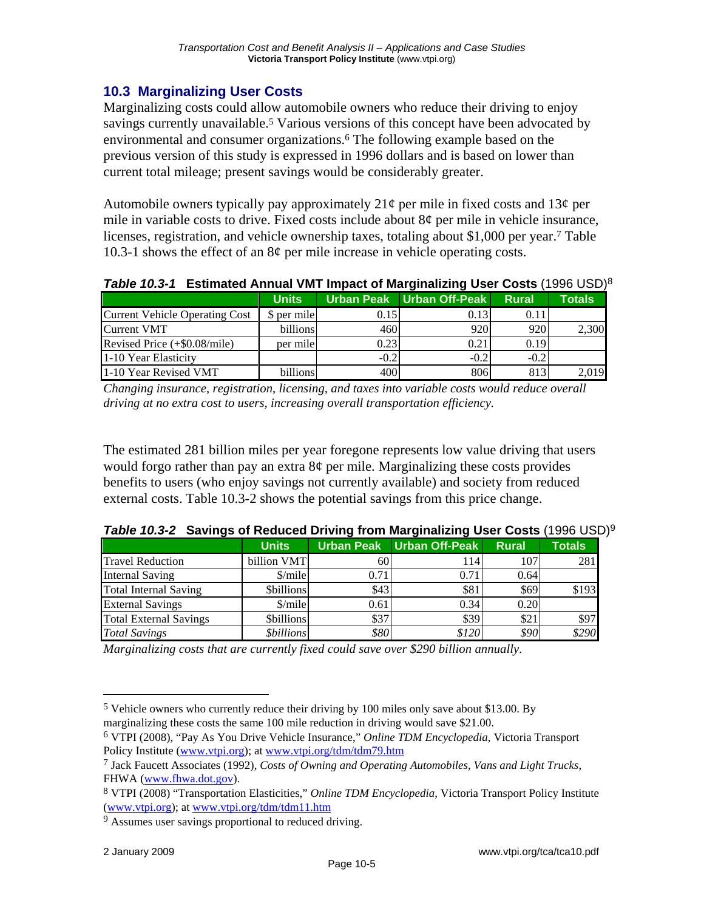## **10.3 Marginalizing User Costs**

Marginalizing costs could allow automobile owners who reduce their driving to enjoy savings currently unavailable.<sup>5</sup> Various versions of this concept have been advocated by environmental and consumer organizations.6 The following example based on the previous version of this study is expressed in 1996 dollars and is based on lower than current total mileage; present savings would be considerably greater.

Automobile owners typically pay approximately  $21¢$  per mile in fixed costs and  $13¢$  per mile in variable costs to drive. Fixed costs include about 8¢ per mile in vehicle insurance, licenses, registration, and vehicle ownership taxes, totaling about \$1,000 per year.7 Table 10.3-1 shows the effect of an 8¢ per mile increase in vehicle operating costs.

| Table 10.3-1 Estimated Annual VMT Impact of Marginalizing User Costs (1996 USD) <sup>8</sup> |  |  |  |  |  |  |
|----------------------------------------------------------------------------------------------|--|--|--|--|--|--|
|----------------------------------------------------------------------------------------------|--|--|--|--|--|--|

|                                       | <b>Units</b> |        | Urban Peak   Urban Off-Peak | <b>Rural</b> | Totals |
|---------------------------------------|--------------|--------|-----------------------------|--------------|--------|
| <b>Current Vehicle Operating Cost</b> | \$ per mile  | 0.15   | 0.13                        | 0.11         |        |
| <b>Current VMT</b>                    | billions     | 460    | 920                         | 920          | 2,300  |
| Revised Price (+\$0.08/mile)          | per mile     | 0.23   | 0.21                        | 0.19         |        |
| 1-10 Year Elasticity                  |              | $-0.2$ | $-0.2$                      | $-0.2$       |        |
| 1-10 Year Revised VMT                 | billions     | 400    | 806                         | 813          | 2,019  |

*Changing insurance, registration, licensing, and taxes into variable costs would reduce overall driving at no extra cost to users, increasing overall transportation efficiency.* 

The estimated 281 billion miles per year foregone represents low value driving that users would forgo rather than pay an extra  $8¢$  per mile. Marginalizing these costs provides benefits to users (who enjoy savings not currently available) and society from reduced external costs. Table 10.3-2 shows the potential savings from this price change.

|                               | <b>Units</b>              |      | Urban Peak   Urban Off-Peak | <b>Rural</b> | <b>Totals</b> |
|-------------------------------|---------------------------|------|-----------------------------|--------------|---------------|
| <b>Travel Reduction</b>       | billion VMT               | 60   | 114                         | 1071         | 281           |
| <b>Internal Saving</b>        | $\mathcal{S}/\text{mile}$ | 0.71 | 0.71                        | 0.64         |               |
| <b>Total Internal Saving</b>  | <b>Sbillions</b>          | \$43 | \$81                        | \$69         | \$193         |
| <b>External Savings</b>       | $\mathcal{S}/\text{mile}$ | 0.61 | 0.34                        | 0.20         |               |
| <b>Total External Savings</b> | <b>Sbillions</b>          | \$37 | \$39                        | \$21         | \$97          |
| <b>Total Savings</b>          | <i><b>Sbillions</b></i>   | \$80 | \$120                       | \$90         | \$290         |

| Table 10.3-2 Savings of Reduced Driving from Marginalizing User Costs (1996 USD) <sup>9</sup> |  |  |  |  |  |  |
|-----------------------------------------------------------------------------------------------|--|--|--|--|--|--|
|                                                                                               |  |  |  |  |  |  |

*Marginalizing costs that are currently fixed could save over \$290 billion annually.* 

<sup>5</sup> Vehicle owners who currently reduce their driving by 100 miles only save about \$13.00. By marginalizing these costs the same 100 mile reduction in driving would save \$21.00.

<sup>6</sup> VTPI (2008), "Pay As You Drive Vehicle Insurance," *Online TDM Encyclopedia*, Victoria Transport Policy Institute (www.vtpi.org); at www.vtpi.org/tdm/tdm79.htm

<sup>7</sup> Jack Faucett Associates (1992), *Costs of Owning and Operating Automobiles, Vans and Light Trucks*, FHWA (www.fhwa.dot.gov).

<sup>8</sup> VTPI (2008) "Transportation Elasticities," *Online TDM Encyclopedia*, Victoria Transport Policy Institute (www.vtpi.org); at www.vtpi.org/tdm/tdm11.htm

<sup>&</sup>lt;sup>9</sup> Assumes user savings proportional to reduced driving.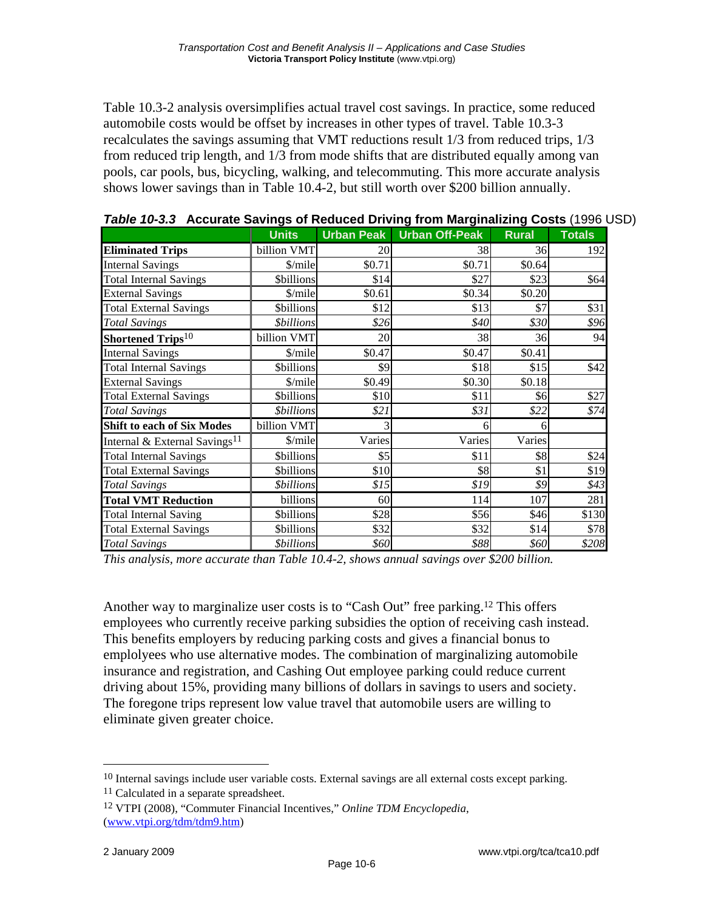Table 10.3-2 analysis oversimplifies actual travel cost savings. In practice, some reduced automobile costs would be offset by increases in other types of travel. Table 10.3-3 recalculates the savings assuming that VMT reductions result 1/3 from reduced trips, 1/3 from reduced trip length, and 1/3 from mode shifts that are distributed equally among van pools, car pools, bus, bicycling, walking, and telecommuting. This more accurate analysis shows lower savings than in Table 10.4-2, but still worth over \$200 billion annually.

| $1000$ and $1000$ and $1000$ complete the complete state $1000$ complete $1000$ complete $1000$ complete $1000$ | <b>Units</b>             | <b>Urban Peak</b> | <b>Urban Off-Peak</b> | <b>Rural</b> | <b>Totals</b> |
|-----------------------------------------------------------------------------------------------------------------|--------------------------|-------------------|-----------------------|--------------|---------------|
| <b>Eliminated Trips</b>                                                                                         | billion VMT              | 20                | 38                    | 36           | 192           |
| <b>Internal Savings</b>                                                                                         | \$/mile                  | \$0.71            | \$0.71                | \$0.64       |               |
| <b>Total Internal Savings</b>                                                                                   | <b>Sbillions</b>         | \$14              | \$27                  | \$23         | \$64          |
| <b>External Savings</b>                                                                                         | \$/mile                  | \$0.61            | \$0.34                | \$0.20       |               |
| <b>Total External Savings</b>                                                                                   | <b>Sbillions</b>         | \$12              | \$13                  | \$7          | \$31          |
| <b>Total Savings</b>                                                                                            | <i><b>\$billions</b></i> | \$26              | \$40                  | \$30         | \$96          |
| Shortened Trips <sup>10</sup>                                                                                   | billion VMT              | 20                | 38                    | 36           | 94            |
| <b>Internal Savings</b>                                                                                         | \$/mile                  | \$0.47            | \$0.47                | \$0.41       |               |
| <b>Total Internal Savings</b>                                                                                   | <b>Sbillions</b>         | \$9               | \$18                  | \$15         | \$42          |
| <b>External Savings</b>                                                                                         | \$/mile                  | \$0.49            | \$0.30                | \$0.18       |               |
| <b>Total External Savings</b>                                                                                   | <b>Sbillions</b>         | \$10              | \$11                  | \$6          | \$27          |
| <b>Total Savings</b>                                                                                            | <i><b>\$billions</b></i> | \$21              | \$31                  | \$22         | \$74          |
| <b>Shift to each of Six Modes</b>                                                                               | billion VMT              | 3                 | 6                     | 6            |               |
| Internal & External Savings <sup>11</sup>                                                                       | \$/mile                  | Varies            | Varies                | Varies       |               |
| <b>Total Internal Savings</b>                                                                                   | <b>Sbillions</b>         | \$5               | \$11                  | \$8          | \$24          |
| <b>Total External Savings</b>                                                                                   | <b>Sbillions</b>         | \$10              | \$8                   | \$1          | \$19          |
| <b>Total Savings</b>                                                                                            | <i><b>\$billions</b></i> | \$15              | \$19                  | \$9          | \$43          |
| <b>Total VMT Reduction</b>                                                                                      | billions                 | 60                | 114                   | 107          | 281           |
| <b>Total Internal Saving</b>                                                                                    | <b>\$billions</b>        | \$28              | \$56                  | \$46         | \$130         |
| <b>Total External Savings</b>                                                                                   | <b>Sbillions</b>         | \$32              | \$32                  | \$14         | \$78          |
| <b>Total Savings</b>                                                                                            | <i><b>\$billions</b></i> | \$60              | \$88                  | \$60         | \$208         |

*This analysis, more accurate than Table 10.4-2, shows annual savings over \$200 billion.* 

Another way to marginalize user costs is to "Cash Out" free parking.12 This offers employees who currently receive parking subsidies the option of receiving cash instead. This benefits employers by reducing parking costs and gives a financial bonus to emplolyees who use alternative modes. The combination of marginalizing automobile insurance and registration, and Cashing Out employee parking could reduce current driving about 15%, providing many billions of dollars in savings to users and society. The foregone trips represent low value travel that automobile users are willing to eliminate given greater choice.

<sup>10</sup> Internal savings include user variable costs. External savings are all external costs except parking. <sup>11</sup> Calculated in a separate spreadsheet.

<sup>12</sup> VTPI (2008), "Commuter Financial Incentives," *Online TDM Encyclopedia*, (www.vtpi.org/tdm/tdm9.htm)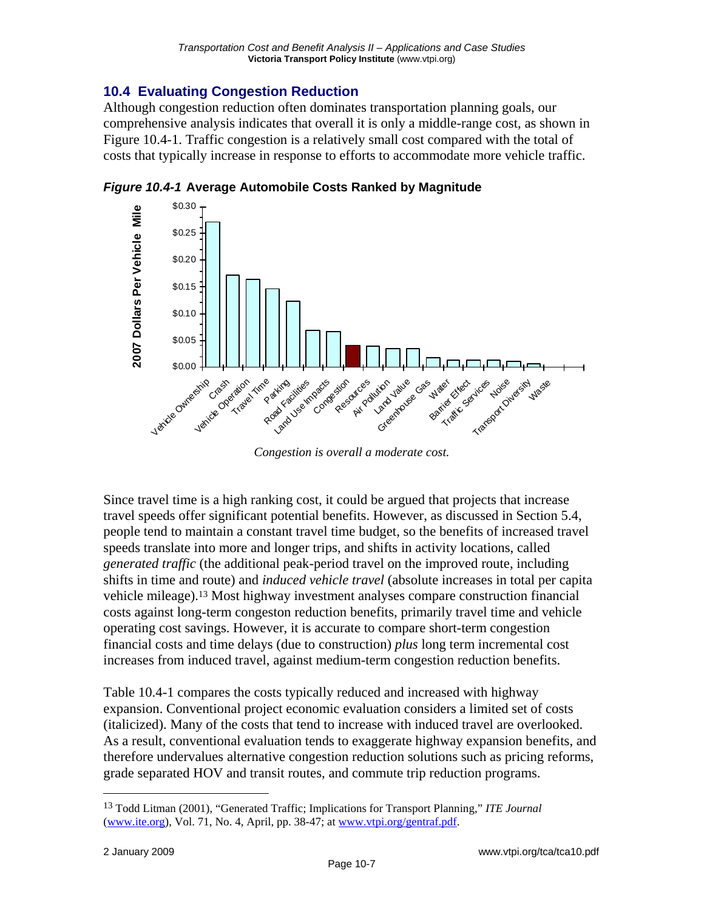# **10.4 Evaluating Congestion Reduction**

Although congestion reduction often dominates transportation planning goals, our comprehensive analysis indicates that overall it is only a middle-range cost, as shown in Figure 10.4-1. Traffic congestion is a relatively small cost compared with the total of costs that typically increase in response to efforts to accommodate more vehicle traffic.



*Figure 10.4-1* **Average Automobile Costs Ranked by Magnitude** 

*Congestion is overall a moderate cost.* 

Since travel time is a high ranking cost, it could be argued that projects that increase travel speeds offer significant potential benefits. However, as discussed in Section 5.4, people tend to maintain a constant travel time budget, so the benefits of increased travel speeds translate into more and longer trips, and shifts in activity locations, called *generated traffic* (the additional peak-period travel on the improved route, including shifts in time and route) and *induced vehicle travel* (absolute increases in total per capita vehicle mileage).13 Most highway investment analyses compare construction financial costs against long-term congeston reduction benefits, primarily travel time and vehicle operating cost savings. However, it is accurate to compare short-term congestion financial costs and time delays (due to construction) *plus* long term incremental cost increases from induced travel, against medium-term congestion reduction benefits.

Table 10.4-1 compares the costs typically reduced and increased with highway expansion. Conventional project economic evaluation considers a limited set of costs (italicized). Many of the costs that tend to increase with induced travel are overlooked. As a result, conventional evaluation tends to exaggerate highway expansion benefits, and therefore undervalues alternative congestion reduction solutions such as pricing reforms, grade separated HOV and transit routes, and commute trip reduction programs.

<sup>13</sup> Todd Litman (2001), "Generated Traffic; Implications for Transport Planning," *ITE Journal* (www.ite.org), Vol. 71, No. 4, April, pp. 38-47; at www.vtpi.org/gentraf.pdf.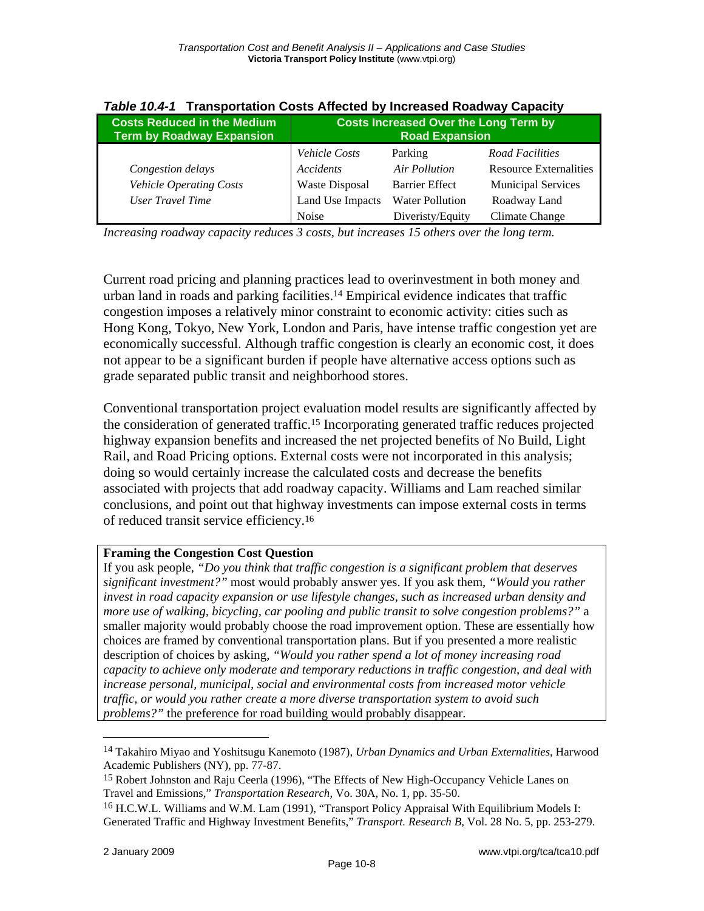| rable T0.+1 Transportation Oosts Ancued by Indicased Roadway Oapacity  |                                                                       |                        |                               |  |  |  |  |
|------------------------------------------------------------------------|-----------------------------------------------------------------------|------------------------|-------------------------------|--|--|--|--|
| <b>Costs Reduced in the Medium</b><br><b>Term by Roadway Expansion</b> | <b>Costs Increased Over the Long Term by</b><br><b>Road Expansion</b> |                        |                               |  |  |  |  |
|                                                                        | <i>Vehicle Costs</i>                                                  | Parking                | Road Facilities               |  |  |  |  |
| Congestion delays                                                      | Accidents                                                             | Air Pollution          | <b>Resource Externalities</b> |  |  |  |  |
| <b>Vehicle Operating Costs</b>                                         | Waste Disposal                                                        | <b>Barrier Effect</b>  | <b>Municipal Services</b>     |  |  |  |  |
| <b>User Travel Time</b>                                                | Land Use Impacts                                                      | <b>Water Pollution</b> | Roadway Land                  |  |  |  |  |
|                                                                        | <b>Noise</b>                                                          | Diveristy/Equity       | Climate Change                |  |  |  |  |

|  | Table 10.4-1 Transportation Costs Affected by Increased Roadway Capacity |  |  |  |  |  |  |
|--|--------------------------------------------------------------------------|--|--|--|--|--|--|
|--|--------------------------------------------------------------------------|--|--|--|--|--|--|

*Increasing roadway capacity reduces 3 costs, but increases 15 others over the long term.* 

Current road pricing and planning practices lead to overinvestment in both money and urban land in roads and parking facilities.14 Empirical evidence indicates that traffic congestion imposes a relatively minor constraint to economic activity: cities such as Hong Kong, Tokyo, New York, London and Paris, have intense traffic congestion yet are economically successful. Although traffic congestion is clearly an economic cost, it does not appear to be a significant burden if people have alternative access options such as grade separated public transit and neighborhood stores.

Conventional transportation project evaluation model results are significantly affected by the consideration of generated traffic.15 Incorporating generated traffic reduces projected highway expansion benefits and increased the net projected benefits of No Build, Light Rail, and Road Pricing options. External costs were not incorporated in this analysis; doing so would certainly increase the calculated costs and decrease the benefits associated with projects that add roadway capacity. Williams and Lam reached similar conclusions, and point out that highway investments can impose external costs in terms of reduced transit service efficiency.16

#### **Framing the Congestion Cost Question**

If you ask people, *"Do you think that traffic congestion is a significant problem that deserves significant investment?"* most would probably answer yes. If you ask them, *"Would you rather invest in road capacity expansion or use lifestyle changes, such as increased urban density and more use of walking, bicycling, car pooling and public transit to solve congestion problems?"* a smaller majority would probably choose the road improvement option. These are essentially how choices are framed by conventional transportation plans. But if you presented a more realistic description of choices by asking, *"Would you rather spend a lot of money increasing road capacity to achieve only moderate and temporary reductions in traffic congestion, and deal with increase personal, municipal, social and environmental costs from increased motor vehicle traffic, or would you rather create a more diverse transportation system to avoid such problems?"* the preference for road building would probably disappear.

<sup>14</sup> Takahiro Miyao and Yoshitsugu Kanemoto (1987), *Urban Dynamics and Urban Externalities*, Harwood Academic Publishers (NY), pp. 77-87.

<sup>&</sup>lt;sup>15</sup> Robert Johnston and Raju Ceerla (1996), "The Effects of New High-Occupancy Vehicle Lanes on Travel and Emissions," *Transportation Research*, Vo. 30A, No. 1, pp. 35-50.

<sup>16</sup> H.C.W.L. Williams and W.M. Lam (1991), "Transport Policy Appraisal With Equilibrium Models I: Generated Traffic and Highway Investment Benefits," *Transport. Research B*, Vol. 28 No. 5, pp. 253-279.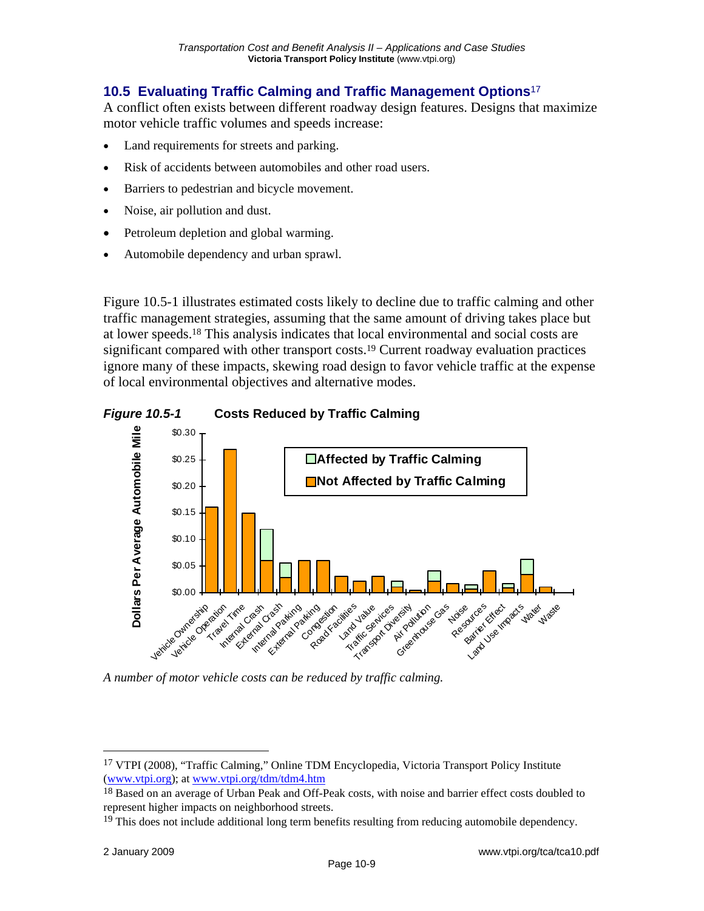# **10.5 Evaluating Traffic Calming and Traffic Management Options**<sup>17</sup>

A conflict often exists between different roadway design features. Designs that maximize motor vehicle traffic volumes and speeds increase:

- Land requirements for streets and parking.
- Risk of accidents between automobiles and other road users.
- Barriers to pedestrian and bicycle movement.
- Noise, air pollution and dust.
- Petroleum depletion and global warming.
- Automobile dependency and urban sprawl.

Figure 10.5-1 illustrates estimated costs likely to decline due to traffic calming and other traffic management strategies, assuming that the same amount of driving takes place but at lower speeds.18 This analysis indicates that local environmental and social costs are significant compared with other transport costs.19 Current roadway evaluation practices ignore many of these impacts, skewing road design to favor vehicle traffic at the expense of local environmental objectives and alternative modes.





*A number of motor vehicle costs can be reduced by traffic calming.* 

<sup>17</sup> VTPI (2008), "Traffic Calming," Online TDM Encyclopedia, Victoria Transport Policy Institute (www.vtpi.org); at www.vtpi.org/tdm/tdm4.htm

<sup>&</sup>lt;sup>18</sup> Based on an average of Urban Peak and Off-Peak costs, with noise and barrier effect costs doubled to represent higher impacts on neighborhood streets.

<sup>&</sup>lt;sup>19</sup> This does not include additional long term benefits resulting from reducing automobile dependency.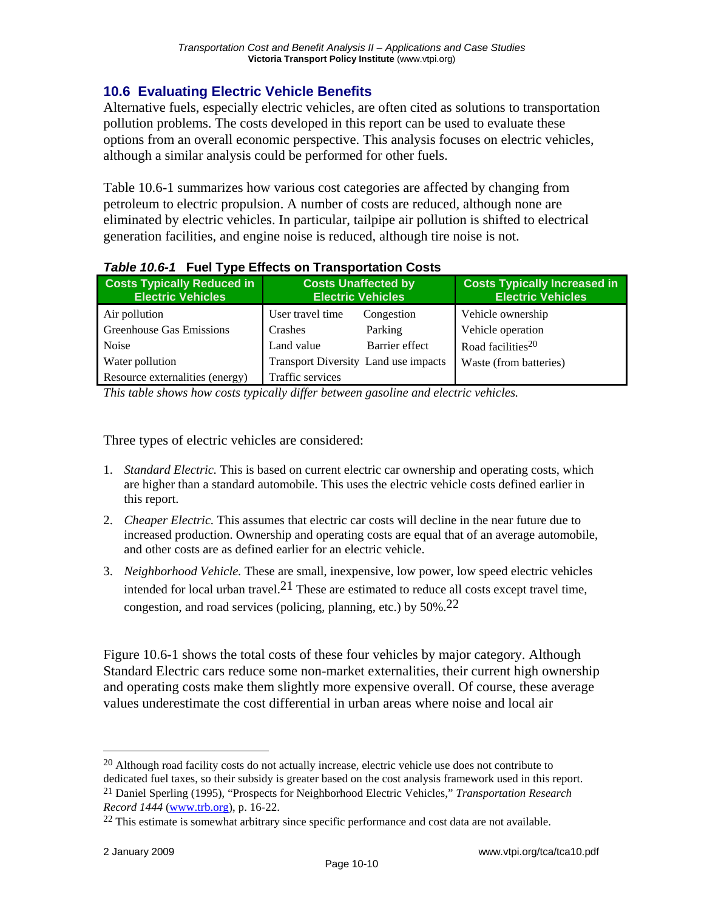# **10.6 Evaluating Electric Vehicle Benefits**

Alternative fuels, especially electric vehicles, are often cited as solutions to transportation pollution problems. The costs developed in this report can be used to evaluate these options from an overall economic perspective. This analysis focuses on electric vehicles, although a similar analysis could be performed for other fuels.

Table 10.6-1 summarizes how various cost categories are affected by changing from petroleum to electric propulsion. A number of costs are reduced, although none are eliminated by electric vehicles. In particular, tailpipe air pollution is shifted to electrical generation facilities, and engine noise is reduced, although tire noise is not.

| <b>Costs Typically Reduced in</b><br><b>Electric Vehicles</b> | <b>Costs Unaffected by</b><br><b>Electric Vehicles</b> |                                             | <b>Costs Typically Increased in</b><br><b>Electric Vehicles</b> |
|---------------------------------------------------------------|--------------------------------------------------------|---------------------------------------------|-----------------------------------------------------------------|
| Air pollution                                                 | User travel time                                       | Congestion                                  | Vehicle ownership                                               |
| <b>Greenhouse Gas Emissions</b>                               | Crashes                                                | Parking                                     | Vehicle operation                                               |
| <b>Noise</b>                                                  | Land value                                             | Barrier effect                              | Road facilities <sup>20</sup>                                   |
| Water pollution                                               |                                                        | <b>Transport Diversity Land use impacts</b> | Waste (from batteries)                                          |
| Resource externalities (energy)                               | Traffic services                                       |                                             |                                                                 |

#### *Table 10.6-1* **Fuel Type Effects on Transportation Costs**

*This table shows how costs typically differ between gasoline and electric vehicles.* 

Three types of electric vehicles are considered:

- 1. *Standard Electric.* This is based on current electric car ownership and operating costs, which are higher than a standard automobile. This uses the electric vehicle costs defined earlier in this report.
- 2. *Cheaper Electric.* This assumes that electric car costs will decline in the near future due to increased production. Ownership and operating costs are equal that of an average automobile, and other costs are as defined earlier for an electric vehicle.
- 3. *Neighborhood Vehicle.* These are small, inexpensive, low power, low speed electric vehicles intended for local urban travel.<sup>21</sup> These are estimated to reduce all costs except travel time, congestion, and road services (policing, planning, etc.) by 50%.22

Figure 10.6-1 shows the total costs of these four vehicles by major category. Although Standard Electric cars reduce some non-market externalities, their current high ownership and operating costs make them slightly more expensive overall. Of course, these average values underestimate the cost differential in urban areas where noise and local air

 $20$  Although road facility costs do not actually increase, electric vehicle use does not contribute to

dedicated fuel taxes, so their subsidy is greater based on the cost analysis framework used in this report. 21 Daniel Sperling (1995), "Prospects for Neighborhood Electric Vehicles," *Transportation Research* 

*Record 1444* (www.trb.org), p. 16-22.

<sup>&</sup>lt;sup>22</sup> This estimate is somewhat arbitrary since specific performance and cost data are not available.